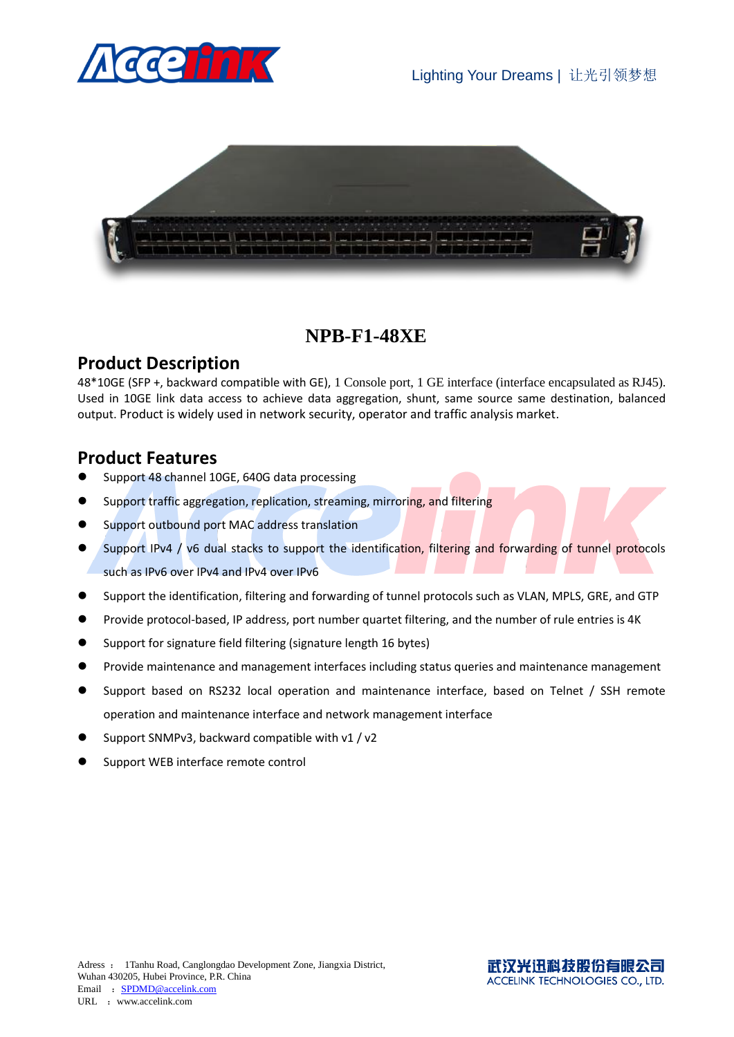



## **NPB-F1-48XE**

### **Product Description**

48\*10GE (SFP +, backward compatible with GE), 1 Console port, 1 GE interface (interface encapsulated as RJ45). Used in 10GE link data access to achieve data aggregation, shunt, same source same destination, balanced output. Product is widely used in network security, operator and traffic analysis market.

#### **Product Features**

- Support 48 channel 10GE, 640G data processing
- Support traffic aggregation, replication, streaming, mirroring, and filtering
- Support outbound port MAC address translation
- Support IPv4 / v6 dual stacks to support the identification, filtering and forwarding of tunnel protocols such as IPv6 over IPv4 and IPv4 over IPv6
- Support the identification, filtering and forwarding of tunnel protocols such as VLAN, MPLS, GRE, and GTP
- Provide protocol-based, IP address, port number quartet filtering, and the number of rule entries is 4K
- Support for signature field filtering (signature length 16 bytes)
- Provide maintenance and management interfaces including status queries and maintenance management
- Support based on RS232 local operation and maintenance interface, based on Telnet / SSH remote operation and maintenance interface and network management interface
- Support SNMPv3, backward compatible with v1 / v2
- Support WEB interface remote control